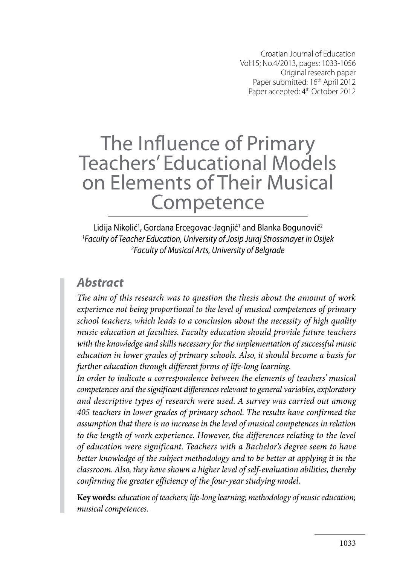Croatian Journal of Education Vol:15; No.4/2013, pages: 1033-1056 Original research paper Paper submitted: 16<sup>th</sup> April 2012 Paper accepted: 4<sup>th</sup> October 2012

# The Influence of Primary Teachers' Educational Models on Elements of Their Musical **Competence**

Lidija Nikolić<sup>1</sup>, Gordana Ercegovac-Jagnjić<sup>1</sup> and Blanka Bogunović<sup>2</sup> *1 Faculty of Teacher Education, University of Josip Juraj Strossmayer in Osijek 2 Faculty of Musical Arts, University of Belgrade*

### *Abstract*

*The aim of this research was to question the thesis about the amount of work experience not being proportional to the level of musical competences of primary school teachers, which leads to a conclusion about the necessity of high quality music education at faculties. Faculty education should provide future teachers with the knowledge and skills necessary for the implementation of successful music education in lower grades of primary schools. Also, it should become a basis for further education through different forms of life-long learning.*

*In order to indicate a correspondence between the elements of teachers' musical competences and the significant differences relevant to general variables, exploratory and descriptive types of research were used. A survey was carried out among 405 teachers in lower grades of primary school. The results have confirmed the assumption that there is no increase in the level of musical competences in relation*  to the length of work experience. However, the differences relating to the level *of education were significant. Teachers with a Bachelor's degree seem to have better knowledge of the subject methodology and to be better at applying it in the classroom. Also, they have shown a higher level of self-evaluation abilities, thereby confirming the greater efficiency of the four-year studying model.* 

**Key words:** *education of teachers; life-long learning; methodology of music education; musical competences.*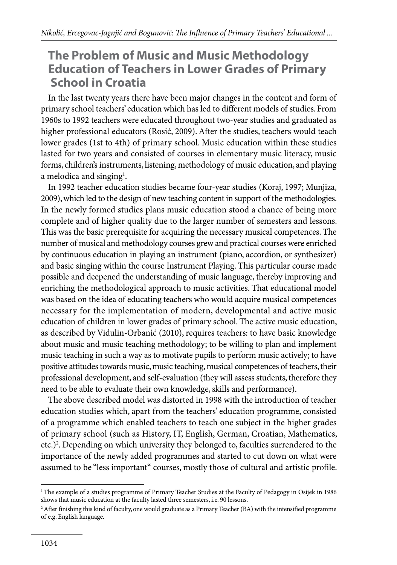### **The Problem of Music and Music Methodology Education of Teachers in Lower Grades of Primary School in Croatia**

In the last twenty years there have been major changes in the content and form of primary school teachers' education which has led to different models of studies. From 1960s to 1992 teachers were educated throughout two-year studies and graduated as higher professional educators (Rosić, 2009). After the studies, teachers would teach lower grades (1st to 4th) of primary school. Music education within these studies lasted for two years and consisted of courses in elementary music literacy, music forms, children's instruments, listening, methodology of music education, and playing a melodica and singing<sup>1</sup>.

In 1992 teacher education studies became four-year studies (Koraj, 1997; Munjiza, 2009), which led to the design of new teaching content in support of the methodologies. In the newly formed studies plans music education stood a chance of being more complete and of higher quality due to the larger number of semesters and lessons. This was the basic prerequisite for acquiring the necessary musical competences. The number of musical and methodology courses grew and practical courses were enriched by continuous education in playing an instrument (piano, accordion, or synthesizer) and basic singing within the course Instrument Playing. This particular course made possible and deepened the understanding of music language, thereby improving and enriching the methodological approach to music activities. That educational model was based on the idea of educating teachers who would acquire musical competences necessary for the implementation of modern, developmental and active music education of children in lower grades of primary school. The active music education, as described by Vidulin-Orbanić (2010), requires teachers: to have basic knowledge about music and music teaching methodology; to be willing to plan and implement music teaching in such a way as to motivate pupils to perform music actively; to have positive attitudes towards music, music teaching, musical competences of teachers, their professional development, and self-evaluation (they will assess students, therefore they need to be able to evaluate their own knowledge, skills and performance).

The above described model was distorted in 1998 with the introduction of teacher education studies which, apart from the teachers' education programme, consisted of a programme which enabled teachers to teach one subject in the higher grades of primary school (such as History, IT, English, German, Croatian, Mathematics, etc.)2 . Depending on which university they belonged to, faculties surrendered to the importance of the newly added programmes and started to cut down on what were assumed to be "less important" courses, mostly those of cultural and artistic profile.

<sup>1</sup> The example of a studies programme of Primary Teacher Studies at the Faculty of Pedagogy in Osijek in 1986 shows that music education at the faculty lasted three semesters, i.e. 90 lessons.

<sup>2</sup> After finishing this kind of faculty, one would graduate as a Primary Teacher (BA) with the intensified programme of e.g. English language.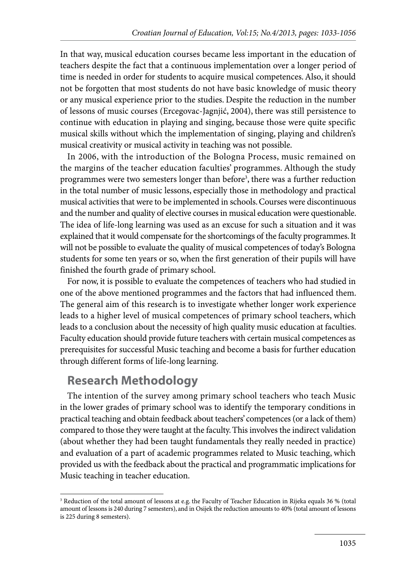In that way, musical education courses became less important in the education of teachers despite the fact that a continuous implementation over a longer period of time is needed in order for students to acquire musical competences. Also, it should not be forgotten that most students do not have basic knowledge of music theory or any musical experience prior to the studies. Despite the reduction in the number of lessons of music courses (Ercegovac-Jagnjić, 2004), there was still persistence to continue with education in playing and singing, because those were quite specific musical skills without which the implementation of singing, playing and children's musical creativity or musical activity in teaching was not possible.

In 2006, with the introduction of the Bologna Process, music remained on the margins of the teacher education faculties' programmes. Although the study programmes were two semesters longer than before<sup>3</sup>, there was a further reduction in the total number of music lessons, especially those in methodology and practical musical activities that were to be implemented in schools. Courses were discontinuous and the number and quality of elective courses in musical education were questionable. The idea of life-long learning was used as an excuse for such a situation and it was explained that it would compensate for the shortcomings of the faculty programmes. It will not be possible to evaluate the quality of musical competences of today's Bologna students for some ten years or so, when the first generation of their pupils will have finished the fourth grade of primary school.

For now, it is possible to evaluate the competences of teachers who had studied in one of the above mentioned programmes and the factors that had influenced them. The general aim of this research is to investigate whether longer work experience leads to a higher level of musical competences of primary school teachers, which leads to a conclusion about the necessity of high quality music education at faculties. Faculty education should provide future teachers with certain musical competences as prerequisites for successful Music teaching and become a basis for further education through different forms of life-long learning.

### **Research Methodology**

The intention of the survey among primary school teachers who teach Music in the lower grades of primary school was to identify the temporary conditions in practical teaching and obtain feedback about teachers' competences (or a lack of them) compared to those they were taught at the faculty. This involves the indirect validation (about whether they had been taught fundamentals they really needed in practice) and evaluation of a part of academic programmes related to Music teaching, which provided us with the feedback about the practical and programmatic implications for Music teaching in teacher education.

<sup>3</sup> Reduction of the total amount of lessons at e.g. the Faculty of Teacher Education in Rijeka equals 36 % (total amount of lessons is 240 during 7 semesters), and in Osijek the reduction amounts to 40% (total amount of lessons is 225 during 8 semesters).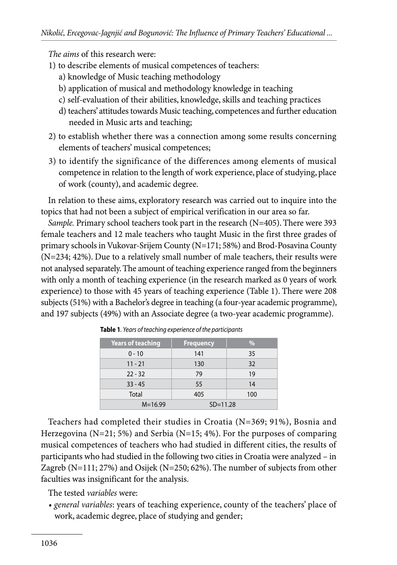*The aims* of this research were:

- 1) to describe elements of musical competences of teachers:
	- a) knowledge of Music teaching methodology
	- b) application of musical and methodology knowledge in teaching
	- c) self-evaluation of their abilities, knowledge, skills and teaching practices
	- d) teachers' attitudes towards Music teaching, competences and further education needed in Music arts and teaching;
- 2) to establish whether there was a connection among some results concerning elements of teachers' musical competences;
- 3) to identify the significance of the differences among elements of musical competence in relation to the length of work experience, place of studying, place of work (county), and academic degree.

In relation to these aims, exploratory research was carried out to inquire into the topics that had not been a subject of empirical verification in our area so far.

*Sample.* Primary school teachers took part in the research (N=405). There were 393 female teachers and 12 male teachers who taught Music in the first three grades of primary schools in Vukovar-Srijem County (N=171; 58%) and Brod-Posavina County (N=234; 42%). Due to a relatively small number of male teachers, their results were not analysed separately. The amount of teaching experience ranged from the beginners with only a month of teaching experience (in the research marked as 0 years of work experience) to those with 45 years of teaching experience (Table 1). There were 208 subjects (51%) with a Bachelor's degree in teaching (a four-year academic programme), and 197 subjects (49%) with an Associate degree (a two-year academic programme).

| <b>Years of teaching</b> | <b>Frequency</b> | $\%$ |
|--------------------------|------------------|------|
| $0 - 10$                 | 141              | 35   |
| $11 - 21$                | 130              | 32   |
| $22 - 32$                | 79               | 19   |
| $33 - 45$                | 55               | 14   |
| Total                    | 405              | 100  |
| $M = 16.99$              | $SD = 11.28$     |      |

**Table 1***. Years of teaching experience of the participants*

Teachers had completed their studies in Croatia (N=369; 91%), Bosnia and Herzegovina ( $N=21$ ; 5%) and Serbia ( $N=15$ ; 4%). For the purposes of comparing musical competences of teachers who had studied in different cities, the results of participants who had studied in the following two cities in Croatia were analyzed – in Zagreb (N=111; 27%) and Osijek (N=250; 62%). The number of subjects from other faculties was insignificant for the analysis.

The tested *variables* were:

*• general variables*: years of teaching experience, county of the teachers' place of work, academic degree, place of studying and gender;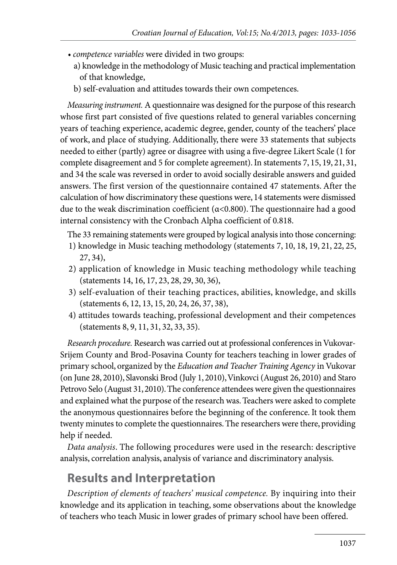- *competence variables* were divided in two groups:
	- a) knowledge in the methodology of Music teaching and practical implementation of that knowledge,
	- b) self-evaluation and attitudes towards their own competences.

*Measuring instrument.* A questionnaire was designed for the purpose of this research whose first part consisted of five questions related to general variables concerning years of teaching experience, academic degree, gender, county of the teachers' place of work, and place of studying. Additionally, there were 33 statements that subjects needed to either (partly) agree or disagree with using a five-degree Likert Scale (1 for complete disagreement and 5 for complete agreement). In statements 7, 15, 19, 21, 31, and 34 the scale was reversed in order to avoid socially desirable answers and guided answers. The first version of the questionnaire contained 47 statements. After the calculation of how discriminatory these questions were, 14 statements were dismissed due to the weak discrimination coefficient ( $\alpha$ <0.800). The questionnaire had a good internal consistency with the Cronbach Alpha coefficient of 0.818.

The 33 remaining statements were grouped by logical analysis into those concerning:

- 1) knowledge in Music teaching methodology (statements 7, 10, 18, 19, 21, 22, 25, 27, 34),
- 2) application of knowledge in Music teaching methodology while teaching (statements 14, 16, 17, 23, 28, 29, 30, 36),
- 3) self-evaluation of their teaching practices, abilities, knowledge, and skills (statements 6, 12, 13, 15, 20, 24, 26, 37, 38),
- 4) attitudes towards teaching, professional development and their competences (statements 8, 9, 11, 31, 32, 33, 35).

*Research procedure.* Research was carried out at professional conferences in Vukovar-Srijem County and Brod-Posavina County for teachers teaching in lower grades of primary school, organized by the *Education and Teacher Training Agency* in Vukovar (on June 28, 2010), Slavonski Brod (July 1, 2010), Vinkovci (August 26, 2010) and Staro Petrovo Selo (August 31, 2010). The conference attendees were given the questionnaires and explained what the purpose of the research was. Teachers were asked to complete the anonymous questionnaires before the beginning of the conference. It took them twenty minutes to complete the questionnaires. The researchers were there, providing help if needed.

*Data analysis*. The following procedures were used in the research: descriptive analysis, correlation analysis, analysis of variance and discriminatory analysis.

### **Results and Interpretation**

*Description of elements of teachers' musical competence.* By inquiring into their knowledge and its application in teaching, some observations about the knowledge of teachers who teach Music in lower grades of primary school have been offered.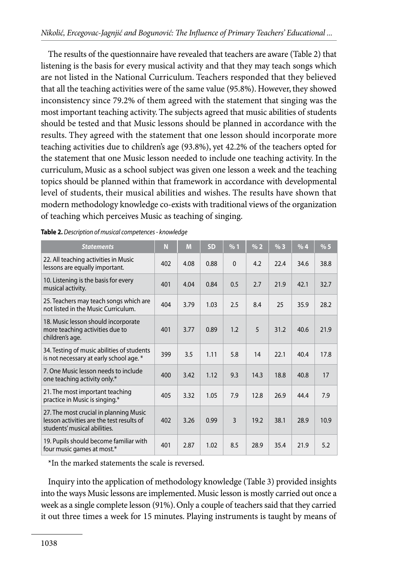The results of the questionnaire have revealed that teachers are aware (Table 2) that listening is the basis for every musical activity and that they may teach songs which are not listed in the National Curriculum. Teachers responded that they believed that all the teaching activities were of the same value (95.8%). However, they showed inconsistency since 79.2% of them agreed with the statement that singing was the most important teaching activity. The subjects agreed that music abilities of students should be tested and that Music lessons should be planned in accordance with the results. They agreed with the statement that one lesson should incorporate more teaching activities due to children's age (93.8%), yet 42.2% of the teachers opted for the statement that one Music lesson needed to include one teaching activity. In the curriculum, Music as a school subject was given one lesson a week and the teaching topics should be planned within that framework in accordance with developmental level of students, their musical abilities and wishes. The results have shown that modern methodology knowledge co-exists with traditional views of the organization of teaching which perceives Music as teaching of singing.

| <b>Statements</b>                                                                                                   | N   | M    | <b>SD</b> | %1             | % 2  | %3   | %4   | %5   |
|---------------------------------------------------------------------------------------------------------------------|-----|------|-----------|----------------|------|------|------|------|
| 22. All teaching activities in Music<br>lessons are equally important.                                              | 402 | 4.08 | 0.88      | $\mathbf{0}$   | 4.2  | 22.4 | 34.6 | 38.8 |
| 10. Listening is the basis for every<br>musical activity.                                                           | 401 | 4.04 | 0.84      | 0.5            | 2.7  | 21.9 | 42.1 | 32.7 |
| 25. Teachers may teach songs which are<br>not listed in the Music Curriculum.                                       | 404 | 3.79 | 1.03      | 2.5            | 8.4  | 25   | 35.9 | 28.2 |
| 18. Music lesson should incorporate<br>more teaching activities due to<br>children's age.                           | 401 | 3.77 | 0.89      | 1.2            | 5    | 31.2 | 40.6 | 21.9 |
| 34. Testing of music abilities of students<br>is not necessary at early school age. *                               | 399 | 3.5  | 1.11      | 5.8            | 14   | 22.1 | 40.4 | 17.8 |
| 7. One Music lesson needs to include<br>one teaching activity only.*                                                | 400 | 3.42 | 1.12      | 9.3            | 14.3 | 18.8 | 40.8 | 17   |
| 21. The most important teaching<br>practice in Music is singing.*                                                   | 405 | 3.32 | 1.05      | 7.9            | 12.8 | 26.9 | 44.4 | 7.9  |
| 27. The most crucial in planning Music<br>lesson activities are the test results of<br>students' musical abilities. | 402 | 3.26 | 0.99      | $\overline{3}$ | 19.2 | 38.1 | 28.9 | 10.9 |
| 19. Pupils should become familiar with<br>four music games at most.*                                                | 401 | 2.87 | 1.02      | 8.5            | 28.9 | 35.4 | 21.9 | 5.2  |

**Table 2.** *Description of musical competences - knowledge*

\*In the marked statements the scale is reversed.

Inquiry into the application of methodology knowledge (Table 3) provided insights into the ways Music lessons are implemented. Music lesson is mostly carried out once a week as a single complete lesson (91%). Only a couple of teachers said that they carried it out three times a week for 15 minutes. Playing instruments is taught by means of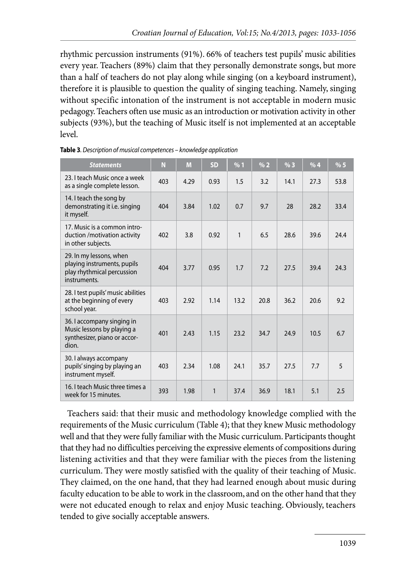rhythmic percussion instruments (91%). 66% of teachers test pupils' music abilities every year. Teachers (89%) claim that they personally demonstrate songs, but more than a half of teachers do not play along while singing (on a keyboard instrument), therefore it is plausible to question the quality of singing teaching. Namely, singing without specific intonation of the instrument is not acceptable in modern music pedagogy. Teachers often use music as an introduction or motivation activity in other subjects (93%), but the teaching of Music itself is not implemented at an acceptable level.

| <b>Statements</b>                                                                                    | N   | M    | SD   | %1   | % 2  | %3   | %4   | %5   |
|------------------------------------------------------------------------------------------------------|-----|------|------|------|------|------|------|------|
| 23. I teach Music once a week<br>as a single complete lesson.                                        | 403 | 4.29 | 0.93 | 1.5  | 3.2  | 14.1 | 27.3 | 53.8 |
| 14. I teach the song by<br>demonstrating it i.e. singing<br>it myself.                               | 404 | 3.84 | 1.02 | 0.7  | 9.7  | 28   | 28.2 | 33.4 |
| 17. Music is a common intro-<br>duction / motivation activity<br>in other subjects.                  | 402 | 3.8  | 0.92 | 1    | 6.5  | 28.6 | 39.6 | 24.4 |
| 29. In my lessons, when<br>playing instruments, pupils<br>play rhythmical percussion<br>instruments. | 404 | 3.77 | 0.95 | 1.7  | 7.2  | 27.5 | 39.4 | 24.3 |
| 28. I test pupils' music abilities<br>at the beginning of every<br>school year.                      | 403 | 2.92 | 1.14 | 13.2 | 20.8 | 36.2 | 20.6 | 9.2  |
| 36. I accompany singing in<br>Music lessons by playing a<br>synthesizer, piano or accor-<br>dion.    | 401 | 2.43 | 1.15 | 23.2 | 34.7 | 24.9 | 10.5 | 6.7  |
| 30. I always accompany<br>pupils' singing by playing an<br>instrument myself.                        | 403 | 2.34 | 1.08 | 24.1 | 35.7 | 27.5 | 7.7  | 5    |
| 16. I teach Music three times a<br>week for 15 minutes.                                              | 393 | 1.98 | 1    | 37.4 | 36.9 | 18.1 | 5.1  | 2.5  |

|  |  | Table 3. Description of musical competences - knowledge application |
|--|--|---------------------------------------------------------------------|
|--|--|---------------------------------------------------------------------|

Teachers said: that their music and methodology knowledge complied with the requirements of the Music curriculum (Table 4); that they knew Music methodology well and that they were fully familiar with the Music curriculum. Participants thought that they had no difficulties perceiving the expressive elements of compositions during listening activities and that they were familiar with the pieces from the listening curriculum. They were mostly satisfied with the quality of their teaching of Music. They claimed, on the one hand, that they had learned enough about music during faculty education to be able to work in the classroom, and on the other hand that they were not educated enough to relax and enjoy Music teaching. Obviously, teachers tended to give socially acceptable answers.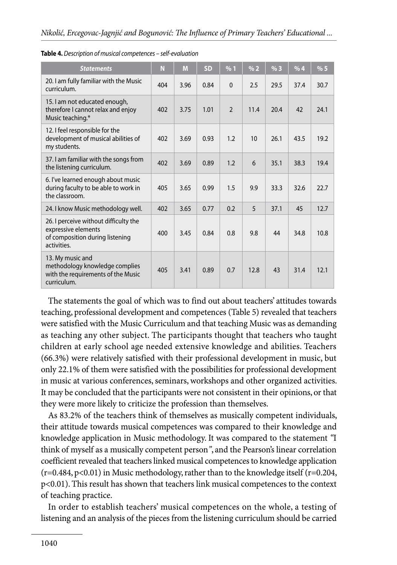| <b>Statements</b>                                                                                              | N   | M    | <b>SD</b> | %1                       | % 2  | %3   | %4   | %5   |
|----------------------------------------------------------------------------------------------------------------|-----|------|-----------|--------------------------|------|------|------|------|
| 20. I am fully familiar with the Music<br>curriculum.                                                          | 404 | 3.96 | 0.84      | $\mathbf{0}$             | 2.5  | 29.5 | 37.4 | 30.7 |
| 15. I am not educated enough,<br>therefore I cannot relax and enjoy<br>Music teaching.*                        | 402 | 3.75 | 1.01      | $\overline{\phantom{0}}$ | 11.4 | 20.4 | 42   | 24.1 |
| 12. I feel responsible for the<br>development of musical abilities of<br>my students.                          | 402 | 3.69 | 0.93      | 1.2                      | 10   | 26.1 | 43.5 | 19.2 |
| 37. I am familiar with the songs from<br>the listening curriculum.                                             | 402 | 3.69 | 0.89      | 1.2                      | 6    | 35.1 | 38.3 | 19.4 |
| 6. I've learned enough about music<br>during faculty to be able to work in<br>the classroom.                   | 405 | 3.65 | 0.99      | 1.5                      | 9.9  | 33.3 | 32.6 | 22.7 |
| 24. I know Music methodology well.                                                                             | 402 | 3.65 | 0.77      | 0.2                      | 5    | 37.1 | 45   | 12.7 |
| 26. I perceive without difficulty the<br>expressive elements<br>of composition during listening<br>activities. | 400 | 3.45 | 0.84      | 0.8                      | 9.8  | 44   | 34.8 | 10.8 |
| 13. My music and<br>methodology knowledge complies<br>with the requirements of the Music<br>curriculum.        | 405 | 3.41 | 0.89      | 0.7                      | 12.8 | 43   | 31.4 | 12.1 |

**Table 4.** *Description of musical competences – self-evaluation*

The statements the goal of which was to find out about teachers' attitudes towards teaching, professional development and competences (Table 5) revealed that teachers were satisfied with the Music Curriculum and that teaching Music was as demanding as teaching any other subject. The participants thought that teachers who taught children at early school age needed extensive knowledge and abilities. Teachers (66.3%) were relatively satisfied with their professional development in music, but only 22.1% of them were satisfied with the possibilities for professional development in music at various conferences, seminars, workshops and other organized activities. It may be concluded that the participants were not consistent in their opinions, or that they were more likely to criticize the profession than themselves.

As 83.2% of the teachers think of themselves as musically competent individuals, their attitude towards musical competences was compared to their knowledge and knowledge application in Music methodology. It was compared to the statement *"*I think of myself as a musically competent person*"*, and the Pearson's linear correlation coefficient revealed that teachers linked musical competences to knowledge application  $(r=0.484, p<0.01)$  in Music methodology, rather than to the knowledge itself ( $r=0.204$ , p<0.01). This result has shown that teachers link musical competences to the context of teaching practice.

In order to establish teachers' musical competences on the whole, a testing of listening and an analysis of the pieces from the listening curriculum should be carried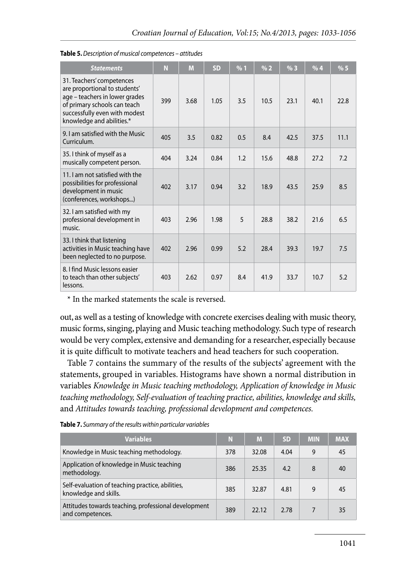| <b>Statements</b>                                                                                                                                                                          | N   | M    | <b>SD</b> | %1  | % 2  | %3   | %4   | % 5  |
|--------------------------------------------------------------------------------------------------------------------------------------------------------------------------------------------|-----|------|-----------|-----|------|------|------|------|
| 31. Teachers' competences<br>are proportional to students'<br>age - teachers in lower grades<br>of primary schools can teach<br>successfully even with modest<br>knowledge and abilities.* | 399 | 3.68 | 1.05      | 3.5 | 10.5 | 23.1 | 40.1 | 22.8 |
| 9. I am satisfied with the Music<br>Curriculum.                                                                                                                                            | 405 | 3.5  | 0.82      | 0.5 | 8.4  | 42.5 | 37.5 | 11.1 |
| 35. I think of myself as a<br>musically competent person.                                                                                                                                  | 404 | 3.24 | 0.84      | 1.2 | 15.6 | 48.8 | 27.2 | 7.2  |
| 11. I am not satisfied with the<br>possibilities for professional<br>development in music<br>(conferences, workshops)                                                                      | 402 | 3.17 | 0.94      | 3.2 | 18.9 | 43.5 | 25.9 | 8.5  |
| 32. I am satisfied with my<br>professional development in<br>music.                                                                                                                        | 403 | 2.96 | 1.98      | 5   | 28.8 | 38.2 | 21.6 | 6.5  |
| 33. I think that listening<br>activities in Music teaching have<br>been neglected to no purpose.                                                                                           | 402 | 2.96 | 0.99      | 5.2 | 28.4 | 39.3 | 19.7 | 7.5  |
| 8. I find Music lessons easier<br>to teach than other subjects'<br>lessons.                                                                                                                | 403 | 2.62 | 0.97      | 8.4 | 41.9 | 33.7 | 10.7 | 5.2  |

| Table 5. Description of musical competences - attitudes |  |  |
|---------------------------------------------------------|--|--|
|---------------------------------------------------------|--|--|

\* In the marked statements the scale is reversed.

out, as well as a testing of knowledge with concrete exercises dealing with music theory, music forms, singing, playing and Music teaching methodology. Such type of research would be very complex, extensive and demanding for a researcher, especially because it is quite difficult to motivate teachers and head teachers for such cooperation.

Table 7 contains the summary of the results of the subjects' agreement with the statements, grouped in variables. Histograms have shown a normal distribution in variables *Knowledge in Music teaching methodology, Application of knowledge in Music teaching methodology, Self-evaluation of teaching practice, abilities, knowledge and skills,*  and *Attitudes towards teaching, professional development and competences.* 

| <b>Variables</b>                                                          | N   | M     | <b>SD</b> | <b>MIN</b> | <b>MAX</b> |
|---------------------------------------------------------------------------|-----|-------|-----------|------------|------------|
| Knowledge in Music teaching methodology.                                  | 378 | 32.08 | 4.04      | 9          | 45         |
| Application of knowledge in Music teaching<br>methodology.                | 386 | 25.35 | 4.2       | 8          | 40         |
| Self-evaluation of teaching practice, abilities,<br>knowledge and skills. | 385 | 32.87 | 4.81      | 9          | 45         |
| Attitudes towards teaching, professional development<br>and competences.  | 389 | 22.12 | 2.78      |            | 35         |

**Table 7.** *Summary of the results within particular variables*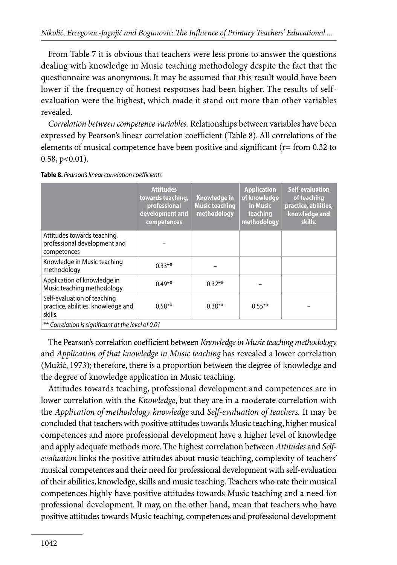From Table 7 it is obvious that teachers were less prone to answer the questions dealing with knowledge in Music teaching methodology despite the fact that the questionnaire was anonymous. It may be assumed that this result would have been lower if the frequency of honest responses had been higher. The results of selfevaluation were the highest, which made it stand out more than other variables revealed.

*Correlation between competence variables.* Relationships between variables have been expressed by Pearson's linear correlation coefficient (Table 8). All correlations of the elements of musical competence have been positive and significant (r= from 0.32 to  $0.58$ ,  $p<0.01$ ).

|                                                                              | <b>Attitudes</b><br>towards teaching,<br>professional<br>development and<br>competences | Knowledge in<br><b>Music teaching</b><br>methodology | <b>Application</b><br>of knowledge<br>in Music<br>teaching<br>methodology | <b>Self-evaluation</b><br>of teaching<br>practice, abilities,<br>knowledge and<br>skills. |
|------------------------------------------------------------------------------|-----------------------------------------------------------------------------------------|------------------------------------------------------|---------------------------------------------------------------------------|-------------------------------------------------------------------------------------------|
| Attitudes towards teaching,<br>professional development and<br>competences   |                                                                                         |                                                      |                                                                           |                                                                                           |
| Knowledge in Music teaching<br>methodology                                   | $0.33**$                                                                                |                                                      |                                                                           |                                                                                           |
| Application of knowledge in<br>Music teaching methodology.                   | $0.49**$                                                                                | $0.32**$                                             |                                                                           |                                                                                           |
| Self-evaluation of teaching<br>practice, abilities, knowledge and<br>skills. | $0.58**$                                                                                | $0.38***$                                            | $0.55***$                                                                 |                                                                                           |
| ** Correlation is significant at the level of 0.01                           |                                                                                         |                                                      |                                                                           |                                                                                           |

**Table 8.** *Pearson's linear correlation coefficients*

The Pearson's correlation coefficient between *Knowledge in Music teaching methodology* and *Application of that knowledge in Music teaching* has revealed a lower correlation (Mužić, 1973); therefore, there is a proportion between the degree of knowledge and the degree of knowledge application in Music teaching.

Attitudes towards teaching, professional development and competences are in lower correlation with the *Knowledge*, but they are in a moderate correlation with the *Application of methodology knowledge* and *Self-evaluation of teachers.* It may be concluded that teachers with positive attitudes towards Music teaching, higher musical competences and more professional development have a higher level of knowledge and apply adequate methods more. The highest correlation between *Attitudes* and *Selfevaluation* links the positive attitudes about music teaching, complexity of teachers' musical competences and their need for professional development with self-evaluation of their abilities, knowledge, skills and music teaching. Teachers who rate their musical competences highly have positive attitudes towards Music teaching and a need for professional development. It may, on the other hand, mean that teachers who have positive attitudes towards Music teaching, competences and professional development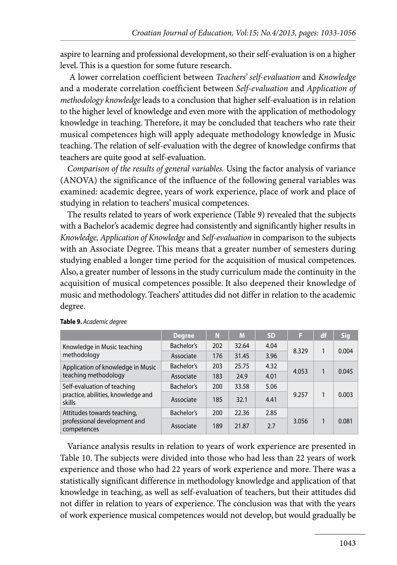aspire to learning and professional development, so their self-evaluation is on a higher level. This is a question for some future research.

 A lower correlation coefficient between *Teachers' self-evaluation* and *Knowledge*  and a moderate correlation coefficient between *Self-evaluation* and *Application of methodology knowledge* leads to a conclusion that higher self-evaluation is in relation to the higher level of knowledge and even more with the application of methodology knowledge in teaching. Therefore, it may be concluded that teachers who rate their musical competences high will apply adequate methodology knowledge in Music teaching. The relation of self-evaluation with the degree of knowledge confirms that teachers are quite good at self-evaluation.

*Comparison of the results of general variables.* Using the factor analysis of variance (ANOVA) the significance of the influence of the following general variables was examined: academic degree, years of work experience, place of work and place of studying in relation to teachers' musical competences.

The results related to years of work experience (Table 9) revealed that the subjects with a Bachelor's academic degree had consistently and significantly higher results in *Knowledge, Application of Knowledge* and *Self-evaluation* in comparison to the subjects with an Associate Degree. This means that a greater number of semesters during studying enabled a longer time period for the acquisition of musical competences. Also, a greater number of lessons in the study curriculum made the continuity in the acquisition of musical competences possible. It also deepened their knowledge of music and methodology. Teachers' attitudes did not differ in relation to the academic degree.

|                                                                             | <b>Degree</b> | N   | M     | <b>SD</b> | Π     | df | <b>Sig</b> |
|-----------------------------------------------------------------------------|---------------|-----|-------|-----------|-------|----|------------|
| Knowledge in Music teaching<br>methodology                                  | Bachelor's    | 202 | 32.64 | 4.04      | 8.329 | 1  | 0.004      |
|                                                                             | Associate     | 176 | 31.45 | 3.96      |       |    |            |
| Application of knowledge in Music<br>teaching methodology                   | Bachelor's    | 203 | 25.75 | 4.32      | 4.053 |    | 0.045      |
|                                                                             | Associate     | 183 | 24.9  | 4.01      |       |    |            |
| Self-evaluation of teaching<br>practice, abilities, knowledge and<br>skills | Bachelor's    | 200 | 33.58 | 5.06      |       |    |            |
|                                                                             | Associate     | 185 | 32.1  | 4.41      | 9.257 |    | 0.003      |
| Attitudes towards teaching,<br>professional development and<br>competences  | Bachelor's    | 200 | 22.36 | 2.85      |       |    |            |
|                                                                             | Associate     | 189 | 21.87 | 2.7       | 3.056 |    | 0.081      |

#### **Table 9.** *Academic degree*

Variance analysis results in relation to years of work experience are presented in Table 10. The subjects were divided into those who had less than 22 years of work experience and those who had 22 years of work experience and more. There was a statistically significant difference in methodology knowledge and application of that knowledge in teaching, as well as self-evaluation of teachers, but their attitudes did not differ in relation to years of experience. The conclusion was that with the years of work experience musical competences would not develop, but would gradually be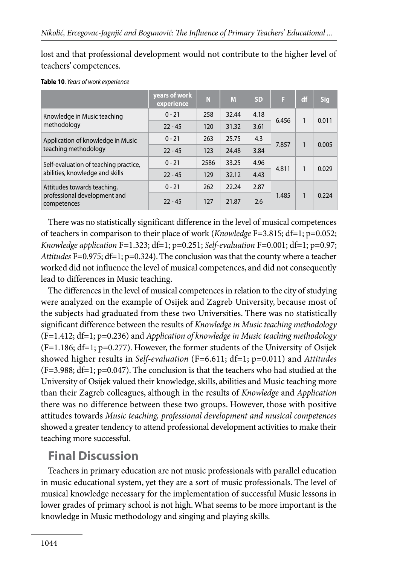lost and that professional development would not contribute to the higher level of teachers' competences.

|                                                                            | years of work<br>experience | N    | M     | <b>SD</b> | F     | df           | <b>Sig</b> |
|----------------------------------------------------------------------------|-----------------------------|------|-------|-----------|-------|--------------|------------|
| Knowledge in Music teaching<br>methodology                                 | $0 - 21$                    | 258  | 32.44 | 4.18      | 6.456 | 1            | 0.011      |
|                                                                            | $22 - 45$                   | 120  | 31.32 | 3.61      |       |              |            |
| Application of knowledge in Music<br>teaching methodology                  | $0 - 21$                    | 263  | 25.75 | 4.3       |       | $\mathbf{1}$ | 0.005      |
|                                                                            | $22 - 45$                   | 123  | 24.48 | 3.84      | 7.857 |              |            |
| Self-evaluation of teaching practice,                                      | $0 - 21$                    | 2586 | 33.25 | 4.96      | 4.811 | 1            | 0.029      |
| abilities, knowledge and skills                                            | $22 - 45$                   | 129  | 32.12 | 4.43      |       |              |            |
| Attitudes towards teaching,<br>professional development and<br>competences | $0 - 21$                    | 262  | 22.24 | 2.87      |       |              |            |
|                                                                            | $22 - 45$                   | 127  | 21.87 | 2.6       | 1.485 | $\mathbf{1}$ | 0.224      |

#### **Table 10***. Years of work experience*

There was no statistically significant difference in the level of musical competences of teachers in comparison to their place of work (*Knowledge* F=3.815; df=1; p=0.052; *Knowledge application* F=1.323; df=1; p=0.251; *Self-evaluation* F=0.001; df=1; p=0.97; *Attitudes* F=0.975; df=1; p=0.324). The conclusion was that the county where a teacher worked did not influence the level of musical competences, and did not consequently lead to differences in Music teaching.

The differences in the level of musical competences in relation to the city of studying were analyzed on the example of Osijek and Zagreb University, because most of the subjects had graduated from these two Universities. There was no statistically significant difference between the results of *Knowledge in Music teaching methodology*  (F=1.412; df=1; p=0.236) and *Application of knowledge in Music teaching methodology*  (F=1.186; df=1; p=0.277). However, the former students of the University of Osijek showed higher results in *Self-evaluation* (F=6.611; df=1; p=0.011) and *Attitudes* (F=3.988; df=1; p=0.047). The conclusion is that the teachers who had studied at the University of Osijek valued their knowledge, skills, abilities and Music teaching more than their Zagreb colleagues, although in the results of *Knowledge* and *Application* there was no difference between these two groups. However, those with positive attitudes towards *Music teaching, professional development and musical competences* showed a greater tendency to attend professional development activities to make their teaching more successful.

### **Final Discussion**

Teachers in primary education are not music professionals with parallel education in music educational system, yet they are a sort of music professionals. The level of musical knowledge necessary for the implementation of successful Music lessons in lower grades of primary school is not high. What seems to be more important is the knowledge in Music methodology and singing and playing skills.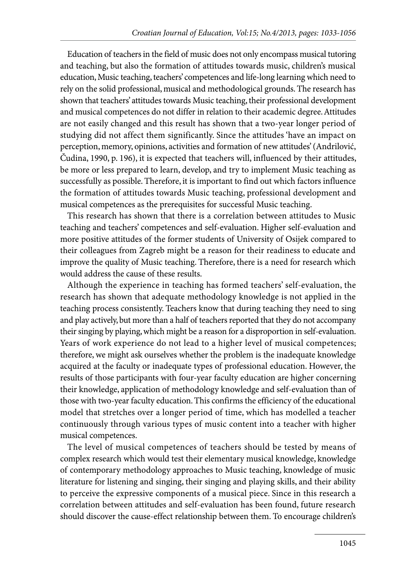Education of teachers in the field of music does not only encompass musical tutoring and teaching, but also the formation of attitudes towards music, children's musical education, Music teaching, teachers' competences and life-long learning which need to rely on the solid professional, musical and methodological grounds. The research has shown that teachers' attitudes towards Music teaching, their professional development and musical competences do not differ in relation to their academic degree. Attitudes are not easily changed and this result has shown that a two-year longer period of studying did not affect them significantly. Since the attitudes 'have an impact on perception, memory, opinions, activities and formation of new attitudes' (Andrilović, Čudina, 1990, p. 196), it is expected that teachers will, influenced by their attitudes, be more or less prepared to learn, develop, and try to implement Music teaching as successfully as possible. Therefore, it is important to find out which factors influence the formation of attitudes towards Music teaching, professional development and musical competences as the prerequisites for successful Music teaching.

This research has shown that there is a correlation between attitudes to Music teaching and teachers' competences and self-evaluation. Higher self-evaluation and more positive attitudes of the former students of University of Osijek compared to their colleagues from Zagreb might be a reason for their readiness to educate and improve the quality of Music teaching. Therefore, there is a need for research which would address the cause of these results.

Although the experience in teaching has formed teachers' self-evaluation, the research has shown that adequate methodology knowledge is not applied in the teaching process consistently. Teachers know that during teaching they need to sing and play actively, but more than a half of teachers reported that they do not accompany their singing by playing, which might be a reason for a disproportion in self-evaluation. Years of work experience do not lead to a higher level of musical competences; therefore, we might ask ourselves whether the problem is the inadequate knowledge acquired at the faculty or inadequate types of professional education. However, the results of those participants with four-year faculty education are higher concerning their knowledge, application of methodology knowledge and self-evaluation than of those with two-year faculty education. This confirms the efficiency of the educational model that stretches over a longer period of time, which has modelled a teacher continuously through various types of music content into a teacher with higher musical competences.

The level of musical competences of teachers should be tested by means of complex research which would test their elementary musical knowledge, knowledge of contemporary methodology approaches to Music teaching, knowledge of music literature for listening and singing, their singing and playing skills, and their ability to perceive the expressive components of a musical piece. Since in this research a correlation between attitudes and self-evaluation has been found, future research should discover the cause-effect relationship between them. To encourage children's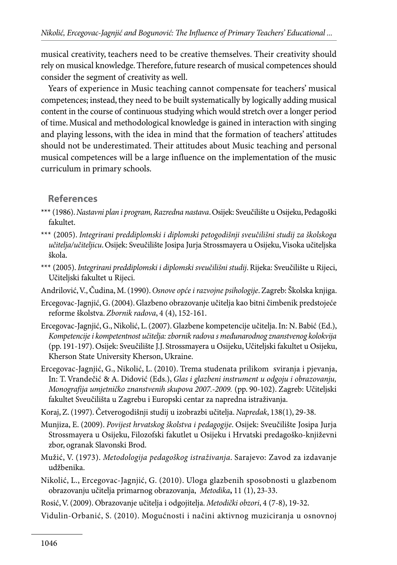musical creativity, teachers need to be creative themselves. Their creativity should rely on musical knowledge. Therefore, future research of musical competences should consider the segment of creativity as well.

Years of experience in Music teaching cannot compensate for teachers' musical competences; instead, they need to be built systematically by logically adding musical content in the course of continuous studying which would stretch over a longer period of time. Musical and methodological knowledge is gained in interaction with singing and playing lessons, with the idea in mind that the formation of teachers' attitudes should not be underestimated. Their attitudes about Music teaching and personal musical competences will be a large influence on the implementation of the music curriculum in primary schools.

#### **References**

- \*\*\* (1986). *Nastavni plan i program, Razredna nastava*. Osijek: Sveučilište u Osijeku, Pedagoški fakultet.
- \*\*\* (2005). *Integrirani preddiplomski i diplomski petogodišnji sveučilišni studij za školskoga učitelja/učiteljicu*. Osijek: Sveučilište Josipa Jurja Strossmayera u Osijeku, Visoka učiteljska škola.
- \*\*\* (2005). *Integrirani preddiplomski i diplomski sveučilišni studij*. Rijeka: Sveučilište u Rijeci, Učiteljski fakultet u Rijeci.
- Andrilović, V., Čudina, M. (1990). *Osnove opće i razvojne psihologije*. Zagreb: Školska knjiga.
- Ercegovac-Jagnjić, G. (2004). Glazbeno obrazovanje učitelja kao bitni čimbenik predstojeće reforme školstva. *Zbornik radova*, 4 (4), 152-161.
- Ercegovac-Jagnjić, G., Nikolić, L. (2007). Glazbene kompetencije učitelja. In: N. Babić (Ed.), *Kompetencije i kompetentnost učitelja: zbornik radova s međunarodnog znanstvenog kolokvija* (pp. 191-197). Osijek: Sveučilište J.J. Strossmayera u Osijeku, Učiteljski fakultet u Osijeku, Kherson State University Kherson, Ukraine.
- Ercegovac-Jagnjić, G., Nikolić, L. (2010). Trema studenata prilikom sviranja i pjevanja, In: T. Vrandečić & A. Didović (Eds.), *Glas i glazbeni instrument u odgoju i obrazovanju, Monografija umjetničko znanstvenih skupova 2007.-2009.* (pp. 90-102). Zagreb: Učiteljski fakultet Sveučilišta u Zagrebu i Europski centar za napredna istraživanja.
- Koraj, Z. (1997). Četverogodišnji studij u izobrazbi učitelja. *Napredak*, 138(1), 29-38.
- Munjiza, E. (2009). *Povijest hrvatskog školstva i pedagogije*. Osijek: Sveučilište Josipa Jurja Strossmayera u Osijeku, Filozofski fakutlet u Osijeku i Hrvatski predagoško-književni zbor, ogranak Slavonski Brod.
- Mužić, V. (1973). *Metodologija pedagoškog istraživanja*. Sarajevo: Zavod za izdavanje udžbenika.
- Nikolić, L., Ercegovac-Jagnjić, G. (2010). Uloga glazbenih sposobnosti u glazbenom obrazovanju učitelja primarnog obrazovanja, *Metodika***,** 11 (1), 23-33.
- Rosić, V. (2009). Obrazovanje učitelja i odgojitelja. *Metodički obzori*, 4 (7-8), 19-32.
- Vidulin-Orbanić, S. (2010). Mogućnosti i načini aktivnog muziciranja u osnovnoj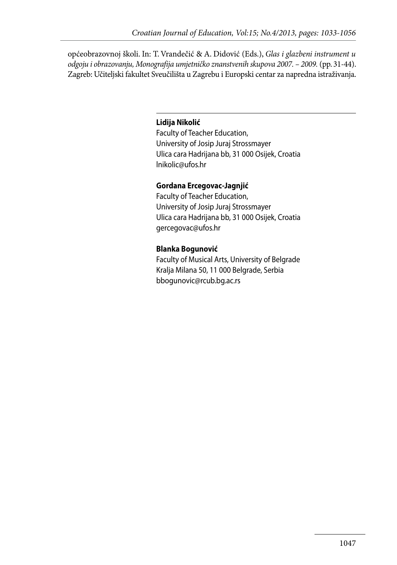općeobrazovnoj školi. In: T. Vrandečić & A. Didović (Eds.), *Glas i glazbeni instrument u odgoju i obrazovanju, Monografija umjetničko znanstvenih skupova 2007. – 2009.* (pp. 31-44). Zagreb: Učiteljski fakultet Sveučilišta u Zagrebu i Europski centar za napredna istraživanja.

#### **Lidija Nikolić**

Faculty of Teacher Education, University of Josip Juraj Strossmayer Ulica cara Hadrijana bb, 31 000 Osijek, Croatia lnikolic@ufos.hr

#### **Gordana Ercegovac-Jagnjić**

Faculty of Teacher Education, University of Josip Juraj Strossmayer Ulica cara Hadrijana bb, 31 000 Osijek, Croatia gercegovac@ufos.hr

#### **Blanka Bogunović**

Faculty of Musical Arts, University of Belgrade Kralja Milana 50, 11 000 Belgrade, Serbia bbogunovic@rcub.bg.ac.rs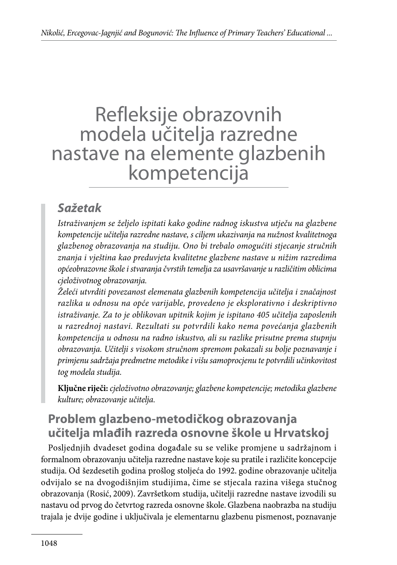## Refleksije obrazovnih modela učitelja razredne nastave na elemente glazbenih kompetencija

### *Sažetak*

*Istraživanjem se željelo ispitati kako godine radnog iskustva utječu na glazbene kompetencije učitelja razredne nastave, s ciljem ukazivanja na nužnost kvalitetnoga glazbenog obrazovanja na studiju. Ono bi trebalo omogućiti stjecanje stručnih znanja i vještina kao preduvjeta kvalitetne glazbene nastave u nižim razredima općeobrazovne škole i stvaranja čvrstih temelja za usavršavanje u različitim oblicima cjeloživotnog obrazovanja.* 

*Želeći utvrditi povezanost elemenata glazbenih kompetencija učitelja i značajnost razlika u odnosu na opće varijable, provedeno je eksplorativno i deskriptivno istraživanje. Za to je oblikovan upitnik kojim je ispitano 405 učitelja zaposlenih u razrednoj nastavi. Rezultati su potvrdili kako nema povećanja glazbenih kompetencija u odnosu na radno iskustvo, ali su razlike prisutne prema stupnju obrazovanja. Učitelji s visokom stručnom spremom pokazali su bolje poznavanje i primjenu sadržaja predmetne metodike i višu samoprocjenu te potvrdili učinkovitost tog modela studija.* 

**Ključne riječi:** *cjeloživotno obrazovanje; glazbene kompetencije; metodika glazbene kulture; obrazovanje učitelja.*

### **Problem glazbeno-metodičkog obrazovanja učitelja mlađih razreda osnovne škole u Hrvatskoj**

Posljednjih dvadeset godina događale su se velike promjene u sadržajnom i formalnom obrazovanju učitelja razredne nastave koje su pratile i različite koncepcije studija. Od šezdesetih godina prošlog stoljeća do 1992. godine obrazovanje učitelja odvijalo se na dvogodišnjim studijima, čime se stjecala razina višega stučnog obrazovanja (Rosić, 2009). Završetkom studija, učitelji razredne nastave izvodili su nastavu od prvog do četvrtog razreda osnovne škole. Glazbena naobrazba na studiju trajala je dvije godine i uključivala je elementarnu glazbenu pismenost, poznavanje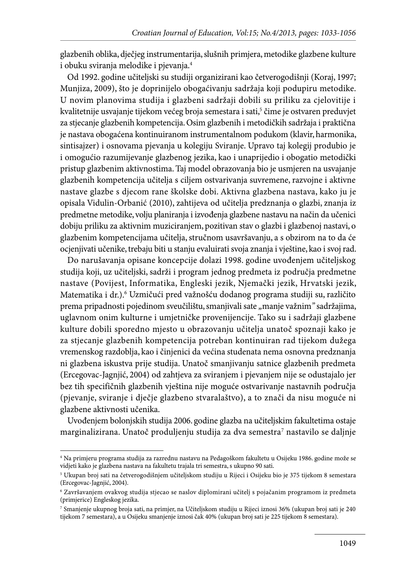glazbenih oblika, dječjeg instrumentarija, slušnih primjera, metodike glazbene kulture i obuku sviranja melodike i pjevanja.4

Od 1992. godine učiteljski su studiji organizirani kao četverogodišnji (Koraj, 1997; Munjiza, 2009), što je doprinijelo obogaćivanju sadržaja koji podupiru metodike. U novim planovima studija i glazbeni sadržaji dobili su priliku za cjelovitije i kvalitetnije usvajanje tijekom većeg broja semestara i sati,<sup>5</sup> čime je ostvaren preduvjet za stjecanje glazbenih kompetencija. Osim glazbenih i metodičkih sadržaja i praktična je nastava obogaćena kontinuiranom instrumentalnom podukom (klavir, harmonika, sintisajzer) i osnovama pjevanja u kolegiju Sviranje. Upravo taj kolegij produbio je i omogućio razumijevanje glazbenog jezika, kao i unaprijedio i obogatio metodički pristup glazbenim aktivnostima. Taj model obrazovanja bio je usmjeren na usvajanje glazbenih kompetencija učitelja s ciljem ostvarivanja suvremene, razvojne i aktivne nastave glazbe s djecom rane školske dobi. Aktivna glazbena nastava, kako ju je opisala Vidulin-Orbanić (2010), zahtijeva od učitelja predznanja o glazbi, znanja iz predmetne metodike, volju planiranja i izvođenja glazbene nastavu na način da učenici dobiju priliku za aktivnim muziciranjem, pozitivan stav o glazbi i glazbenoj nastavi, o glazbenim kompetencijama učitelja, stručnom usavršavanju, a s obzirom na to da će ocjenjivati učenike, trebaju biti u stanju evaluirati svoja znanja i vještine, kao i svoj rad.

Do narušavanja opisane koncepcije dolazi 1998. godine uvođenjem učiteljskog studija koji, uz učiteljski, sadrži i program jednog predmeta iz područja predmetne nastave (Povijest, Informatika, Engleski jezik, Njemački jezik, Hrvatski jezik, Matematika i dr.).6 Uzmičući pred važnošću dodanog programa studiji su, različito prema pripadnosti pojedinom sveučilištu, smanjivali sate "manje važnim" sadržajima, uglavnom onim kulturne i umjetničke provenijencije. Tako su i sadržaji glazbene kulture dobili sporedno mjesto u obrazovanju učitelja unatoč spoznaji kako je za stjecanje glazbenih kompetencija potreban kontinuiran rad tijekom dužega vremenskog razdoblja, kao i činjenici da većina studenata nema osnovna predznanja ni glazbena iskustva prije studija. Unatoč smanjivanju satnice glazbenih predmeta (Ercegovac-Jagnjić, 2004) od zahtjeva za sviranjem i pjevanjem nije se odustajalo jer bez tih specifičnih glazbenih vještina nije moguće ostvarivanje nastavnih područja (pjevanje, sviranje i dječje glazbeno stvaralaštvo), a to znači da nisu moguće ni glazbene aktivnosti učenika.

Uvođenjem bolonjskih studija 2006. godine glazba na učiteljskim fakultetima ostaje marginalizirana. Unatoč produljenju studija za dva semestra $^\tau$  nastavilo se daljnje

<sup>4</sup> Na primjeru programa studija za razrednu nastavu na Pedagoškom fakultetu u Osijeku 1986. godine može se vidjeti kako je glazbena nastava na fakultetu trajala tri semestra, s ukupno 90 sati.

<sup>5</sup> Ukupan broj sati na četverogodišnjem učiteljskom studiju u Rijeci i Osijeku bio je 375 tijekom 8 semestara (Ercegovac-Jagnjić, 2004).

<sup>6</sup> Završavanjem ovakvog studija stjecao se naslov diplomirani učitelj s pojačanim programom iz predmeta (primjerice) Engleskog jezika.

<sup>7</sup> Smanjenje ukupnog broja sati, na primjer, na Učiteljskom studiju u Rijeci iznosi 36% (ukupan broj sati je 240 tijekom 7 semestara), a u Osijeku smanjenje iznosi čak 40% (ukupan broj sati je 225 tijekom 8 semestara).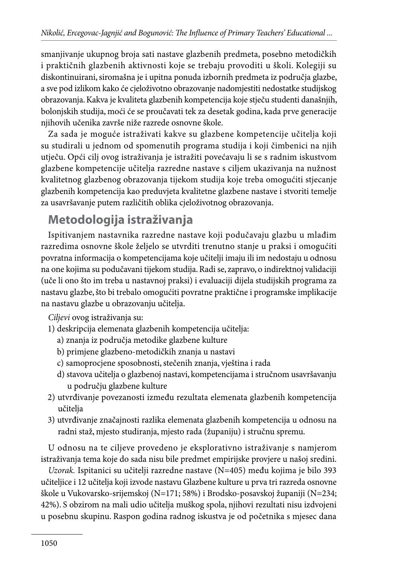smanjivanje ukupnog broja sati nastave glazbenih predmeta, posebno metodičkih i praktičnih glazbenih aktivnosti koje se trebaju provoditi u školi. Kolegiji su diskontinuirani, siromašna je i upitna ponuda izbornih predmeta iz područja glazbe, a sve pod izlikom kako će cjeloživotno obrazovanje nadomjestiti nedostatke studijskog obrazovanja. Kakva je kvaliteta glazbenih kompetencija koje stječu studenti današnjih, bolonjskih studija, moći će se proučavati tek za desetak godina, kada prve generacije njihovih učenika završe niže razrede osnovne škole.

Za sada je moguće istraživati kakve su glazbene kompetencije učitelja koji su studirali u jednom od spomenutih programa studija i koji čimbenici na njih utječu. Opći cilj ovog istraživanja je istražiti povećavaju li se s radnim iskustvom glazbene kompetencije učitelja razredne nastave s ciljem ukazivanja na nužnost kvalitetnog glazbenog obrazovanja tijekom studija koje treba omogućiti stjecanje glazbenih kompetencija kao preduvjeta kvalitetne glazbene nastave i stvoriti temelje za usavršavanje putem različitih oblika cjeloživotnog obrazovanja.

### **Metodologija istraživanja**

Ispitivanjem nastavnika razredne nastave koji podučavaju glazbu u mlađim razredima osnovne škole željelo se utvrditi trenutno stanje u praksi i omogućiti povratna informacija o kompetencijama koje učitelji imaju ili im nedostaju u odnosu na one kojima su podučavani tijekom studija. Radi se, zapravo, o indirektnoj validaciji (uče li ono što im treba u nastavnoj praksi) i evaluaciji dijela studijskih programa za nastavu glazbe, što bi trebalo omogućiti povratne praktične i programske implikacije na nastavu glazbe u obrazovanju učitelja.

*Ciljevi* ovog istraživanja su:

- 1) deskripcija elemenata glazbenih kompetencija učitelja:
	- a) znanja iz područja metodike glazbene kulture
	- b) primjene glazbeno-metodičkih znanja u nastavi
	- c) samoprocjene sposobnosti, stečenih znanja, vještina i rada
	- d) stavova učitelja o glazbenoj nastavi, kompetencijama i stručnom usavršavanju u području glazbene kulture
- 2) utvrđivanje povezanosti između rezultata elemenata glazbenih kompetencija učitelja
- 3) utvrđivanje značajnosti razlika elemenata glazbenih kompetencija u odnosu na radni staž, mjesto studiranja, mjesto rada (županiju) i stručnu spremu.

U odnosu na te ciljeve provedeno je eksplorativno istraživanje s namjerom istraživanja tema koje do sada nisu bile predmet empirijske provjere u našoj sredini.

*Uzorak.* Ispitanici su učitelji razredne nastave (N=405) među kojima je bilo 393 učiteljice i 12 učitelja koji izvode nastavu Glazbene kulture u prva tri razreda osnovne škole u Vukovarsko-srijemskoj (N=171; 58%) i Brodsko-posavskoj županiji (N=234; 42%). S obzirom na mali udio učitelja muškog spola, njihovi rezultati nisu izdvojeni u posebnu skupinu. Raspon godina radnog iskustva je od početnika s mjesec dana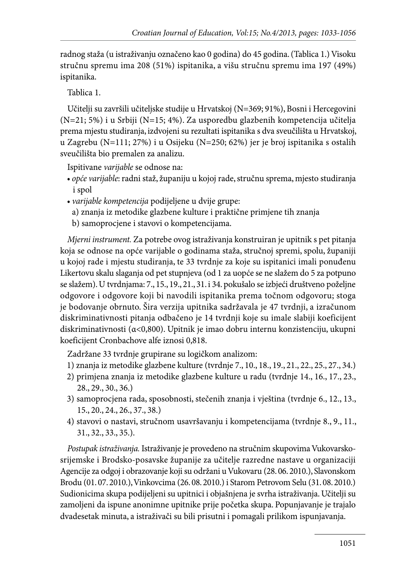radnog staža (u istraživanju označeno kao 0 godina) do 45 godina. (Tablica 1.) Visoku stručnu spremu ima 208 (51%) ispitanika, a višu stručnu spremu ima 197 (49%) ispitanika.

Tablica 1.

Učitelji su završili učiteljske studije u Hrvatskoj (N=369; 91%), Bosni i Hercegovini (N=21; 5%) i u Srbiji (N=15; 4%). Za usporedbu glazbenih kompetencija učitelja prema mjestu studiranja, izdvojeni su rezultati ispitanika s dva sveučilišta u Hrvatskoj, u Zagrebu (N=111; 27%) i u Osijeku (N=250; 62%) jer je broj ispitanika s ostalih sveučilišta bio premalen za analizu.

Ispitivane *varijable* se odnose na:

- *opće varijable*: radni staž, županiju u kojoj rade, stručnu sprema, mjesto studiranja i spol
- *varijable kompetencija* podijeljene u dvije grupe:
	- a) znanja iz metodike glazbene kulture i praktične primjene tih znanja
	- b) samoprocjene i stavovi o kompetencijama.

*Mjerni instrument.* Za potrebe ovog istraživanja konstruiran je upitnik s pet pitanja koja se odnose na opće varijable o godinama staža, stručnoj spremi, spolu, županiji u kojoj rade i mjestu studiranja, te 33 tvrdnje za koje su ispitanici imali ponuđenu Likertovu skalu slaganja od pet stupnjeva (od 1 za uopće se ne slažem do 5 za potpuno se slažem). U tvrdnjama: 7., 15., 19., 21., 31. i 34. pokušalo se izbjeći društveno poželjne odgovore i odgovore koji bi navodili ispitanika prema točnom odgovoru; stoga je bodovanje obrnuto. Šira verzija upitnika sadržavala je 47 tvrdnji, a izračunom diskriminativnosti pitanja odbačeno je 14 tvrdnji koje su imale slabiji koeficijent diskriminativnosti (α<0,800). Upitnik je imao dobru internu konzistenciju, ukupni koeficijent Cronbachove alfe iznosi 0,818.

Zadržane 33 tvrdnje grupirane su logičkom analizom:

- 1) znanja iz metodike glazbene kulture (tvrdnje 7., 10., 18., 19., 21., 22., 25., 27., 34.)
- 2) primjena znanja iz metodike glazbene kulture u radu (tvrdnje 14., 16., 17., 23., 28., 29., 30., 36.)
- 3) samoprocjena rada, sposobnosti, stečenih znanja i vještina (tvrdnje 6., 12., 13., 15., 20., 24., 26., 37., 38.)
- 4) stavovi o nastavi, stručnom usavršavanju i kompetencijama (tvrdnje 8., 9., 11., 31., 32., 33., 35.).

*Postupak istraživanja.* Istraživanje je provedeno na stručnim skupovima Vukovarskosrijemske i Brodsko-posavske županije za učitelje razredne nastave u organizaciji Agencije za odgoj i obrazovanje koji su održani u Vukovaru (28. 06. 2010.), Slavonskom Brodu (01. 07. 2010.), Vinkovcima (26. 08. 2010.) i Starom Petrovom Selu (31. 08. 2010.) Sudionicima skupa podijeljeni su upitnici i objašnjena je svrha istraživanja. Učitelji su zamoljeni da ispune anonimne upitnike prije početka skupa. Popunjavanje je trajalo dvadesetak minuta, a istraživači su bili prisutni i pomagali prilikom ispunjavanja.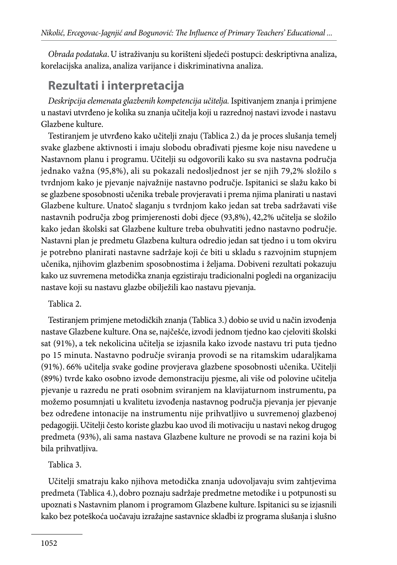*Obrada podataka*. U istraživanju su korišteni sljedeći postupci: deskriptivna analiza, korelacijska analiza, analiza varijance i diskriminativna analiza.

### **Rezultati i interpretacija**

*Deskripcija elemenata glazbenih kompetencija učitelja.* Ispitivanjem znanja i primjene u nastavi utvrđeno je kolika su znanja učitelja koji u razrednoj nastavi izvode i nastavu Glazbene kulture.

Testiranjem je utvrđeno kako učitelji znaju (Tablica 2.) da je proces slušanja temelj svake glazbene aktivnosti i imaju slobodu obrađivati pjesme koje nisu navedene u Nastavnom planu i programu. Učitelji su odgovorili kako su sva nastavna područja jednako važna (95,8%), ali su pokazali nedosljednost jer se njih 79,2% složilo s tvrdnjom kako je pjevanje najvažnije nastavno područje. Ispitanici se slažu kako bi se glazbene sposobnosti učenika trebale provjeravati i prema njima planirati u nastavi Glazbene kulture. Unatoč slaganju s tvrdnjom kako jedan sat treba sadržavati više nastavnih područja zbog primjerenosti dobi djece (93,8%), 42,2% učitelja se složilo kako jedan školski sat Glazbene kulture treba obuhvatiti jedno nastavno područje. Nastavni plan je predmetu Glazbena kultura odredio jedan sat tjedno i u tom okviru je potrebno planirati nastavne sadržaje koji će biti u skladu s razvojnim stupnjem učenika, njihovim glazbenim sposobnostima i željama. Dobiveni rezultati pokazuju kako uz suvremena metodička znanja egzistiraju tradicionalni pogledi na organizaciju nastave koji su nastavu glazbe obilježili kao nastavu pjevanja.

### Tablica 2.

Testiranjem primjene metodičkih znanja (Tablica 3.) dobio se uvid u način izvođenja nastave Glazbene kulture. Ona se, najčešće, izvodi jednom tjedno kao cjeloviti školski sat (91%), a tek nekolicina učitelja se izjasnila kako izvode nastavu tri puta tjedno po 15 minuta. Nastavno područje sviranja provodi se na ritamskim udaraljkama (91%). 66% učitelja svake godine provjerava glazbene sposobnosti učenika. Učitelji (89%) tvrde kako osobno izvode demonstraciju pjesme, ali više od polovine učitelja pjevanje u razredu ne prati osobnim sviranjem na klavijaturnom instrumentu, pa možemo posumnjati u kvalitetu izvođenja nastavnog područja pjevanja jer pjevanje bez određene intonacije na instrumentu nije prihvatljivo u suvremenoj glazbenoj pedagogiji. Učitelji često koriste glazbu kao uvod ili motivaciju u nastavi nekog drugog predmeta (93%), ali sama nastava Glazbene kulture ne provodi se na razini koja bi bila prihvatljiva.

### Tablica 3.

Učitelji smatraju kako njihova metodička znanja udovoljavaju svim zahtjevima predmeta (Tablica 4.), dobro poznaju sadržaje predmetne metodike i u potpunosti su upoznati s Nastavnim planom i programom Glazbene kulture. Ispitanici su se izjasnili kako bez poteškoća uočavaju izražajne sastavnice skladbi iz programa slušanja i slušno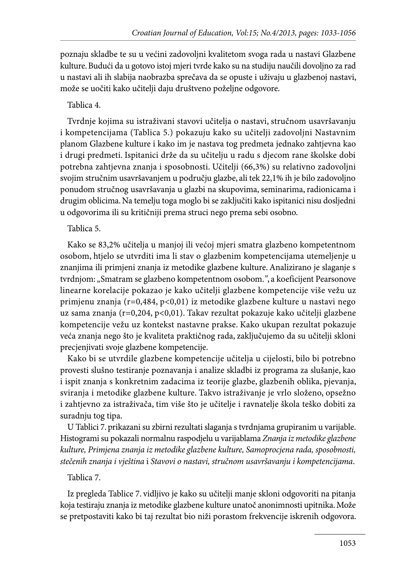poznaju skladbe te su u većini zadovoljni kvalitetom svoga rada u nastavi Glazbene kulture. Budući da u gotovo istoj mjeri tvrde kako su na studiju naučili dovoljno za rad u nastavi ali ih slabija naobrazba sprečava da se opuste i uživaju u glazbenoj nastavi, može se uočiti kako učitelji daju društveno poželjne odgovore.

### Tablica 4.

Tvrdnje kojima su istraživani stavovi učitelja o nastavi, stručnom usavršavanju i kompetencijama (Tablica 5.) pokazuju kako su učitelji zadovoljni Nastavnim planom Glazbene kulture i kako im je nastava tog predmeta jednako zahtjevna kao i drugi predmeti. Ispitanici drže da su učitelju u radu s djecom rane školske dobi potrebna zahtjevna znanja i sposobnosti. Učitelji (66,3%) su relativno zadovoljni svojim stručnim usavršavanjem u području glazbe, ali tek 22,1% ih je bilo zadovoljno ponudom stručnog usavršavanja u glazbi na skupovima, seminarima, radionicama i drugim oblicima. Na temelju toga moglo bi se zaključiti kako ispitanici nisu dosljedni u odgovorima ili su kritičniji prema struci nego prema sebi osobno.

#### Tablica 5.

Kako se 83,2% učitelja u manjoj ili većoj mjeri smatra glazbeno kompetentnom osobom, htjelo se utvrditi ima li stav o glazbenim kompetencijama utemeljenje u znanjima ili primjeni znanja iz metodike glazbene kulture. Analizirano je slaganje s tvrdnjom: *"*Smatram se glazbeno kompetentnom osobom.*"*, a koeficijent Pearsonove linearne korelacije pokazao je kako učitelji glazbene kompetencije više vežu uz primjenu znanja (r=0,484, p<0,01) iz metodike glazbene kulture u nastavi nego uz sama znanja (r=0,204, p<0,01). Takav rezultat pokazuje kako učitelji glazbene kompetencije vežu uz kontekst nastavne prakse. Kako ukupan rezultat pokazuje veća znanja nego što je kvaliteta praktičnog rada, zaključujemo da su učitelji skloni precjenjivati svoje glazbene kompetencije.

Kako bi se utvrdile glazbene kompetencije učitelja u cijelosti, bilo bi potrebno provesti slušno testiranje poznavanja i analize skladbi iz programa za slušanje, kao i ispit znanja s konkretnim zadacima iz teorije glazbe, glazbenih oblika, pjevanja, sviranja i metodike glazbene kulture. Takvo istraživanje je vrlo složeno, opsežno i zahtjevno za istraživača, tim više što je učitelje i ravnatelje škola teško dobiti za suradnju tog tipa.

U Tablici 7. prikazani su zbirni rezultati slaganja s tvrdnjama grupiranim u varijable. Histogrami su pokazali normalnu raspodjelu u varijablama *Znanja iz metodike glazbene kulture, Primjena znanja iz metodike glazbene kulture, Samoprocjena rada, sposobnosti, stečenih znanja i vještina* i *Stavovi o nastavi, stručnom usavršavanju i kompetencijama*.

### Tablica 7.

Iz pregleda Tablice 7. vidljivo je kako su učitelji manje skloni odgovoriti na pitanja koja testiraju znanja iz metodike glazbene kulture unatoč anonimnosti upitnika. Može se pretpostaviti kako bi taj rezultat bio niži porastom frekvencije iskrenih odgovora.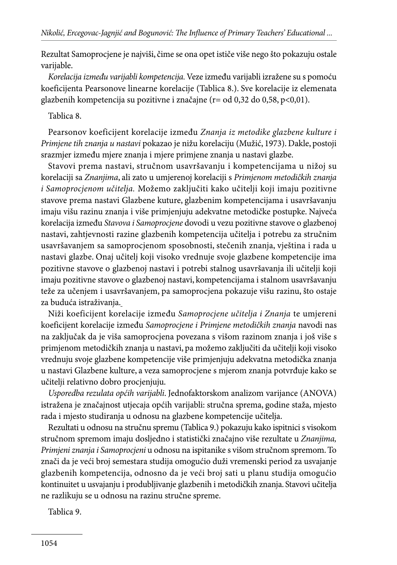Rezultat Samoprocjene je najviši, čime se ona opet ističe više nego što pokazuju ostale varijable.

*Korelacija između varijabli kompetencija.* Veze između varijabli izražene su s pomoću koeficijenta Pearsonove linearne korelacije (Tablica 8.). Sve korelacije iz elemenata glazbenih kompetencija su pozitivne i značajne (r= od 0,32 do 0,58, p<0,01).

#### Tablica 8.

Pearsonov koeficijent korelacije između *Znanja iz metodike glazbene kulture i Primjene tih znanja u nastavi* pokazao je nižu korelaciju (Mužić, 1973). Dakle, postoji srazmjer između mjere znanja i mjere primjene znanja u nastavi glazbe.

Stavovi prema nastavi, stručnom usavršavanju i kompetencijama u nižoj su korelaciji sa *Znanjima*, ali zato u umjerenoj korelaciji s *Primjenom metodičkih znanja i Samoprocjenom učitelja.* Možemo zaključiti kako učitelji koji imaju pozitivne stavove prema nastavi Glazbene kuture, glazbenim kompetencijama i usavršavanju imaju višu razinu znanja i više primjenjuju adekvatne metodičke postupke. Najveća korelacija između *Stavova i Samoprocjene* dovodi u vezu pozitivne stavove o glazbenoj nastavi, zahtjevnosti razine glazbenih kompetencija učitelja i potrebu za stručnim usavršavanjem sa samoprocjenom sposobnosti, stečenih znanja, vještina i rada u nastavi glazbe. Onaj učitelj koji visoko vrednuje svoje glazbene kompetencije ima pozitivne stavove o glazbenoj nastavi i potrebi stalnog usavršavanja ili učitelji koji imaju pozitivne stavove o glazbenoj nastavi, kompetencijama i stalnom usavršavanju teže za učenjem i usavršavanjem, pa samoprocjena pokazuje višu razinu, što ostaje za buduća istraživanja.

Niži koeficijent korelacije između *Samoprocjene učitelja i Znanja* te umjereni koeficijent korelacije između *Samoprocjene i Primjene metodičkih znanja* navodi nas na zaključak da je viša samoprocjena povezana s višom razinom znanja i još više s primjenom metodičkih znanja u nastavi, pa možemo zaključiti da učitelji koji visoko vrednuju svoje glazbene kompetencije više primjenjuju adekvatna metodička znanja u nastavi Glazbene kulture, a veza samoprocjene s mjerom znanja potvrđuje kako se učitelji relativno dobro procjenjuju.

*Usporedba rezulata općih varijabli*. Jednofaktorskom analizom varijance (ANOVA) istražena je značajnost utjecaja općih varijabli: stručna sprema, godine staža, mjesto rada i mjesto studiranja u odnosu na glazbene kompetencije učitelja.

Rezultati u odnosu na stručnu spremu (Tablica 9.) pokazuju kako ispitnici s visokom stručnom spremom imaju dosljedno i statistički značajno više rezultate u *Znanjima, Primjeni znanja i Samoprocjeni* u odnosu na ispitanike s višom stručnom spremom. To znači da je veći broj semestara studija omogućio duži vremenski period za usvajanje glazbenih kompetencija, odnosno da je veći broj sati u planu studija omogućio kontinuitet u usvajanju i produbljivanje glazbenih i metodičkih znanja. Stavovi učitelja ne razlikuju se u odnosu na razinu stručne spreme.

Tablica 9.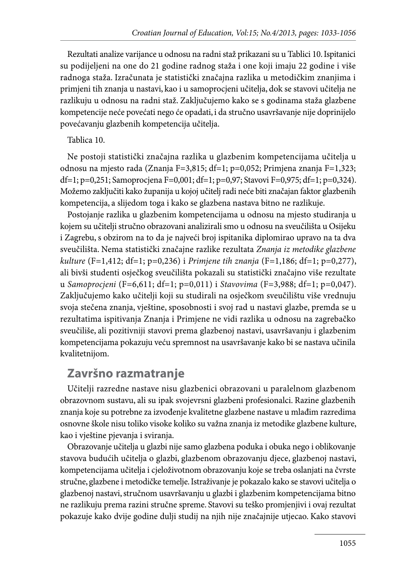Rezultati analize varijance u odnosu na radni staž prikazani su u Tablici 10. Ispitanici su podijeljeni na one do 21 godine radnog staža i one koji imaju 22 godine i više radnoga staža. Izračunata je statistički značajna razlika u metodičkim znanjima i primjeni tih znanja u nastavi, kao i u samoprocjeni učitelja, dok se stavovi učitelja ne razlikuju u odnosu na radni staž. Zaključujemo kako se s godinama staža glazbene kompetencije neće povećati nego će opadati, i da stručno usavršavanje nije doprinijelo povećavanju glazbenih kompetencija učitelja.

#### Tablica 10.

Ne postoji statistički značajna razlika u glazbenim kompetencijama učitelja u odnosu na mjesto rada (Znanja F=3,815; df=1; p=0,052; Primjena znanja F=1,323; df=1; p=0,251; Samoprocjena F=0,001; df=1; p=0,97; Stavovi F=0,975; df=1; p=0,324). Možemo zaključiti kako županija u kojoj učitelj radi neće biti značajan faktor glazbenih kompetencija, a slijedom toga i kako se glazbena nastava bitno ne razlikuje.

Postojanje razlika u glazbenim kompetencijama u odnosu na mjesto studiranja u kojem su učitelji stručno obrazovani analizirali smo u odnosu na sveučilišta u Osijeku i Zagrebu, s obzirom na to da je najveći broj ispitanika diplomirao upravo na ta dva sveučilišta. Nema statistički značajne razlike rezultata *Znanja iz metodike glazbene kulture* (F=1,412; df=1; p=0,236) i *Primjene tih znanja* (F=1,186; df=1; p=0,277), ali bivši studenti osječkog sveučilišta pokazali su statistički značajno više rezultate u *Samoprocjeni* (F=6,611; df=1; p=0,011) i *Stavovima* (F=3,988; df=1; p=0,047). Zaključujemo kako učitelji koji su studirali na osječkom sveučilištu više vrednuju svoja stečena znanja, vještine, sposobnosti i svoj rad u nastavi glazbe, premda se u rezultatima ispitivanja Znanja i Primjene ne vidi razlika u odnosu na zagrebačko sveučiliše, ali pozitivniji stavovi prema glazbenoj nastavi, usavršavanju i glazbenim kompetencijama pokazuju veću spremnost na usavršavanje kako bi se nastava učinila kvalitetnijom.

### **Završno razmatranje**

Učitelji razredne nastave nisu glazbenici obrazovani u paralelnom glazbenom obrazovnom sustavu, ali su ipak svojevrsni glazbeni profesionalci. Razine glazbenih znanja koje su potrebne za izvođenje kvalitetne glazbene nastave u mlađim razredima osnovne škole nisu toliko visoke koliko su važna znanja iz metodike glazbene kulture, kao i vještine pjevanja i sviranja.

Obrazovanje učitelja u glazbi nije samo glazbena poduka i obuka nego i oblikovanje stavova budućih učitelja o glazbi, glazbenom obrazovanju djece, glazbenoj nastavi, kompetencijama učitelja i cjeloživotnom obrazovanju koje se treba oslanjati na čvrste stručne, glazbene i metodičke temelje. Istraživanje je pokazalo kako se stavovi učitelja o glazbenoj nastavi, stručnom usavršavanju u glazbi i glazbenim kompetencijama bitno ne razlikuju prema razini stručne spreme. Stavovi su teško promjenjivi i ovaj rezultat pokazuje kako dvije godine dulji studij na njih nije značajnije utjecao. Kako stavovi